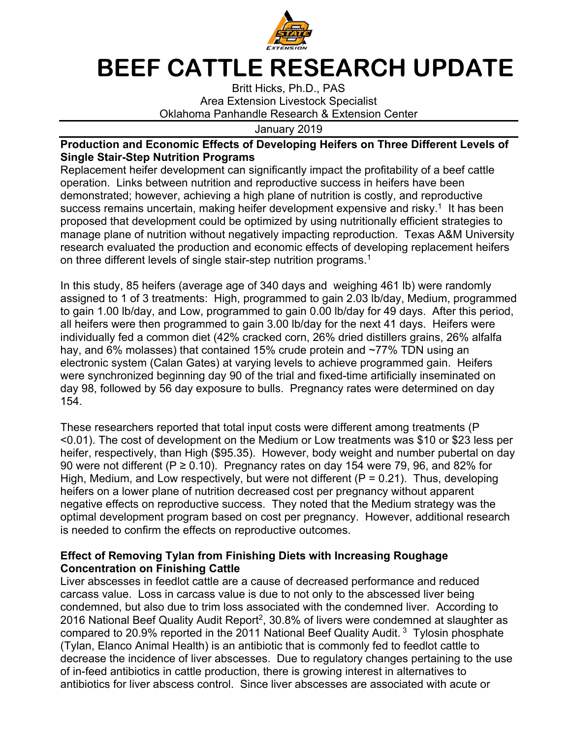

## **BEEF CATTLE RESEARCH UPDATE**

Britt Hicks, Ph.D., PAS Area Extension Livestock Specialist Oklahoma Panhandle Research & Extension Center

## January 2019

## **Production and Economic Effects of Developing Heifers on Three Different Levels of Single Stair-Step Nutrition Programs**

Replacement heifer development can significantly impact the profitability of a beef cattle operation. Links between nutrition and reproductive success in heifers have been demonstrated; however, achieving a high plane of nutrition is costly, and reproductive success remains uncertain, making heifer development expensive and risky.<sup>1</sup> It has been proposed that development could be optimized by using nutritionally efficient strategies to manage plane of nutrition without negatively impacting reproduction. Texas A&M University research evaluated the production and economic effects of developing replacement heifers on three different levels of single stair-step nutrition programs.<sup>1</sup>

In this study, 85 heifers (average age of 340 days and weighing 461 lb) were randomly assigned to 1 of 3 treatments: High, programmed to gain 2.03 lb/day, Medium, programmed to gain 1.00 lb/day, and Low, programmed to gain 0.00 lb/day for 49 days. After this period, all heifers were then programmed to gain 3.00 lb/day for the next 41 days. Heifers were individually fed a common diet (42% cracked corn, 26% dried distillers grains, 26% alfalfa hay, and 6% molasses) that contained 15% crude protein and ~77% TDN using an electronic system (Calan Gates) at varying levels to achieve programmed gain. Heifers were synchronized beginning day 90 of the trial and fixed-time artificially inseminated on day 98, followed by 56 day exposure to bulls. Pregnancy rates were determined on day 154.

These researchers reported that total input costs were different among treatments (P <0.01). The cost of development on the Medium or Low treatments was \$10 or \$23 less per heifer, respectively, than High (\$95.35). However, body weight and number pubertal on day 90 were not different ( $P \ge 0.10$ ). Pregnancy rates on day 154 were 79, 96, and 82% for High, Medium, and Low respectively, but were not different ( $P = 0.21$ ). Thus, developing heifers on a lower plane of nutrition decreased cost per pregnancy without apparent negative effects on reproductive success. They noted that the Medium strategy was the optimal development program based on cost per pregnancy. However, additional research is needed to confirm the effects on reproductive outcomes.

## **Effect of Removing Tylan from Finishing Diets with Increasing Roughage Concentration on Finishing Cattle**

Liver abscesses in feedlot cattle are a cause of decreased performance and reduced carcass value. Loss in carcass value is due to not only to the abscessed liver being condemned, but also due to trim loss associated with the condemned liver. According to 2016 National Beef Quality Audit Report<sup>2</sup>, 30.8% of livers were condemned at slaughter as compared to 20.9% reported in the 2011 National Beef Quality Audit. 3 Tylosin phosphate (Tylan, Elanco Animal Health) is an antibiotic that is commonly fed to feedlot cattle to decrease the incidence of liver abscesses. Due to regulatory changes pertaining to the use of in-feed antibiotics in cattle production, there is growing interest in alternatives to antibiotics for liver abscess control. Since liver abscesses are associated with acute or